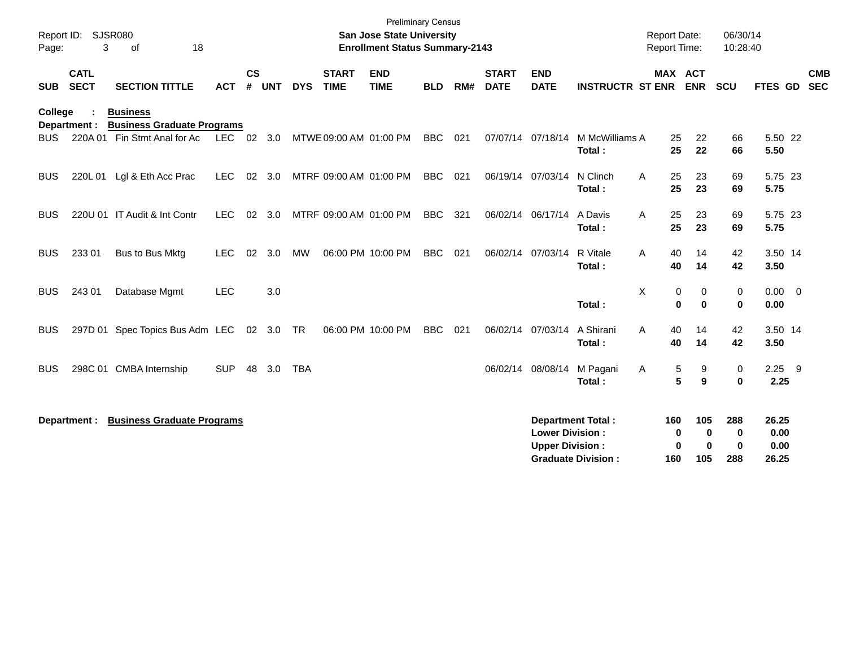| <b>Preliminary Census</b><br>SJSR080<br>Report ID:<br><b>San Jose State University</b><br>3<br>18<br><b>Enrollment Status Summary-2143</b><br>Page:<br>of |                            |                                                      |            |           |       |            |                             |                           |            | <b>Report Date:</b><br>Report Time: |                             | 06/30/14<br>10:28:40                             |                                                       |                        |                      |                             |                                |                          |
|-----------------------------------------------------------------------------------------------------------------------------------------------------------|----------------------------|------------------------------------------------------|------------|-----------|-------|------------|-----------------------------|---------------------------|------------|-------------------------------------|-----------------------------|--------------------------------------------------|-------------------------------------------------------|------------------------|----------------------|-----------------------------|--------------------------------|--------------------------|
| <b>SUB</b>                                                                                                                                                | <b>CATL</b><br><b>SECT</b> | <b>SECTION TITTLE</b>                                | <b>ACT</b> | <b>CS</b> | # UNT | <b>DYS</b> | <b>START</b><br><b>TIME</b> | <b>END</b><br><b>TIME</b> | <b>BLD</b> | RM#                                 | <b>START</b><br><b>DATE</b> | <b>END</b><br><b>DATE</b>                        | <b>INSTRUCTR ST ENR</b>                               | MAX ACT                | <b>ENR</b>           | <b>SCU</b>                  | FTES GD                        | <b>CMB</b><br><b>SEC</b> |
| College                                                                                                                                                   | Department :               | <b>Business</b><br><b>Business Graduate Programs</b> |            |           |       |            |                             |                           |            |                                     |                             |                                                  |                                                       |                        |                      |                             |                                |                          |
| BUS.                                                                                                                                                      |                            | 220A 01 Fin Stmt Anal for Ac                         | LEC 02 3.0 |           |       |            | MTWE 09:00 AM 01:00 PM      |                           | <b>BBC</b> | 021                                 |                             | 07/07/14 07/18/14                                | M McWilliams A<br>Total:                              | 25<br>25               | 22<br>22             | 66<br>66                    | 5.50 22<br>5.50                |                          |
| <b>BUS</b>                                                                                                                                                | 220L 01                    | Lgl & Eth Acc Prac                                   | <b>LEC</b> | 02        | 3.0   |            | MTRF 09:00 AM 01:00 PM      |                           | <b>BBC</b> | 021                                 |                             | 06/19/14 07/03/14                                | N Clinch<br>Total:                                    | 25<br>Α<br>25          | 23<br>23             | 69<br>69                    | 5.75 23<br>5.75                |                          |
| <b>BUS</b>                                                                                                                                                |                            | 220U 01 IT Audit & Int Contr                         | <b>LEC</b> | 02        | 3.0   |            | MTRF 09:00 AM 01:00 PM      |                           | <b>BBC</b> | 321                                 | 06/02/14 06/17/14           |                                                  | A Davis<br>Total:                                     | 25<br>A<br>25          | 23<br>23             | 69<br>69                    | 5.75 23<br>5.75                |                          |
| <b>BUS</b>                                                                                                                                                | 233 01                     | Bus to Bus Mktg                                      | <b>LEC</b> | 02        | 3.0   | <b>MW</b>  |                             | 06:00 PM 10:00 PM         | <b>BBC</b> | 021                                 |                             | 06/02/14 07/03/14                                | R Vitale<br>Total:                                    | 40<br>A<br>40          | 14<br>14             | 42<br>42                    | 3.50 14<br>3.50                |                          |
| <b>BUS</b>                                                                                                                                                | 243 01                     | Database Mgmt                                        | <b>LEC</b> |           | 3.0   |            |                             |                           |            |                                     |                             |                                                  | Total:                                                | X<br>0<br>$\mathbf{0}$ | 0<br>$\bf{0}$        | 0<br>$\bf{0}$               | $0.00 \t 0$<br>0.00            |                          |
| <b>BUS</b>                                                                                                                                                |                            | 297D 01 Spec Topics Bus Adm LEC 02 3.0               |            |           |       | <b>TR</b>  |                             | 06:00 PM 10:00 PM         | <b>BBC</b> | 021                                 | 06/02/14 07/03/14           |                                                  | A Shirani<br>Total:                                   | 40<br>A<br>40          | 14<br>14             | 42<br>42                    | 3.50 14<br>3.50                |                          |
| <b>BUS</b>                                                                                                                                                |                            | 298C 01 CMBA Internship                              | <b>SUP</b> | 48        | 3.0   | <b>TBA</b> |                             |                           |            |                                     | 06/02/14                    | 08/08/14                                         | M Pagani<br>Total:                                    | 5<br>Α<br>5            | 9<br>9               | 0<br>$\bf{0}$               | $2.25$ 9<br>2.25               |                          |
|                                                                                                                                                           | Department :               | <b>Business Graduate Programs</b>                    |            |           |       |            |                             |                           |            |                                     |                             | <b>Lower Division:</b><br><b>Upper Division:</b> | <b>Department Total:</b><br><b>Graduate Division:</b> | 160<br>0<br>0<br>160   | 105<br>0<br>0<br>105 | 288<br>$\bf{0}$<br>0<br>288 | 26.25<br>0.00<br>0.00<br>26.25 |                          |